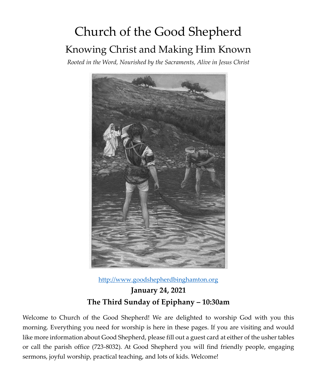# Church of the Good Shepherd Knowing Christ and Making Him Known

*Rooted in the Word, Nourished by the Sacraments, Alive in Jesus Christ*



[http://www.goodshepherdbinghamton.org](http://www.goodshepherdbinghamton.org/)

**January 24, 2021 The Third Sunday of Epiphany – 10:30am**

Welcome to Church of the Good Shepherd! We are delighted to worship God with you this morning. Everything you need for worship is here in these pages. If you are visiting and would like more information about Good Shepherd, please fill out a guest card at either of the usher tables or call the parish office (723-8032). At Good Shepherd you will find friendly people, engaging sermons, joyful worship, practical teaching, and lots of kids. Welcome!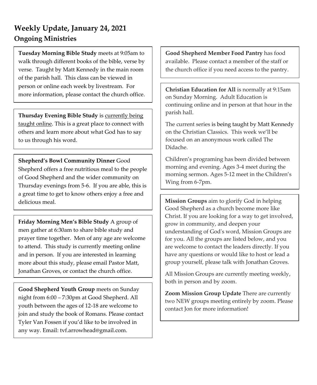# **Weekly Update, January 24, 2021 Ongoing Ministries**

**Tuesday Morning Bible Study** meets at 9:05am to walk through different books of the bible, verse by verse. Taught by Matt Kennedy in the main room of the parish hall. This class can be viewed in person or online each week by livestream. For more information, please contact the church office.

**Thursday Evening Bible Study** is currently being taught online. This is a great place to connect with others and learn more about what God has to say to us through his word.

**Shepherd's Bowl Community Dinner** Good Shepherd offers a free nutritious meal to the people of Good Shepherd and the wider community on Thursday evenings from 5-6. If you are able, this is a great time to get to know others enjoy a free and delicious meal.

**Friday Morning Men's Bible Study** A group of men gather at 6:30am to share bible study and prayer time together. Men of any age are welcome to attend. This study is currently meeting online and in person. If you are interested in learning more about this study, please email Pastor Matt, Jonathan Groves, or contact the church office.

**Good Shepherd Youth Group** meets on Sunday night from 6:00 – 7:30pm at Good Shepherd. All youth between the ages of 12-18 are welcome to join and study the book of Romans. Please contact Tyler Van Fossen if you'd like to be involved in any way. Email: tvf.arrowhead@gmail.com.

**Good Shepherd Member Food Pantry** has food available. Please contact a member of the staff or the church office if you need access to the pantry.

**Christian Education for All** is normally at 9:15am on Sunday Morning. Adult Education is continuing online and in person at that hour in the parish hall.

The current series is being taught by Matt Kennedy on the Christian Classics. This week we'll be focused on an anonymous work called The Didache.

Children's programing has been divided between morning and evening. Ages 3-4 meet during the morning sermon. Ages 5-12 meet in the Children's Wing from 6-7pm.

**Mission Groups** aim to glorify God in helping Good Shepherd as a church become more like Christ. If you are looking for a way to get involved, grow in community, and deepen your understanding of God's word, Mission Groups are for you. All the groups are listed below, and you are welcome to contact the leaders directly. If you have any questions or would like to host or lead a group yourself, please talk with Jonathan Groves.

All Mission Groups are currently meeting weekly, both in person and by zoom.

**Zoom Mission Group Update** There are currently two NEW groups meeting entirely by zoom. Please contact Jon for more information!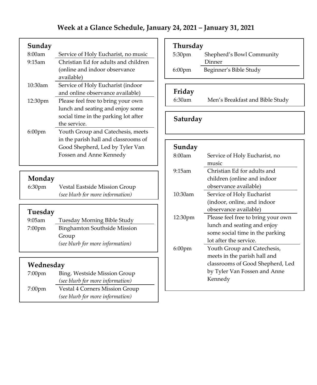#### **Sunday**

| 8:00am             | Service of Holy Eucharist, no music  |
|--------------------|--------------------------------------|
| $9:15$ am          | Christian Ed for adults and children |
|                    | (online and indoor observance)       |
|                    | available)                           |
| $10:30$ am         | Service of Holy Eucharist (indoor    |
|                    | and online observance available)     |
| 12:30pm            | Please feel free to bring your own   |
|                    | lunch and seating and enjoy some     |
|                    | social time in the parking lot after |
|                    | the service.                         |
| 6:00 <sub>pm</sub> | Youth Group and Catechesis, meets    |
|                    | in the parish hall and classrooms of |
|                    | Good Shepherd, Led by Tyler Van      |
|                    | Fossen and Anne Kennedy              |

# **Monday**<br>6:30pm

Vestal Eastside Mission Group *(see blurb for more information)*

# **Tuesday**

| $9:05$ am          | Tuesday Morning Bible Study         |
|--------------------|-------------------------------------|
| 7:00 <sub>pm</sub> | <b>Binghamton Southside Mission</b> |
|                    | Group                               |
|                    | (see blurb for more information)    |

#### **Wednesday**

| $7:00$ pm | Bing. Westside Mission Group     |
|-----------|----------------------------------|
|           | (see blurb for more information) |
| $7:00$ pm | Vestal 4 Corners Mission Group   |
|           | (see blurb for more information) |

## **Thursday**

| 5:30pm    | Shepherd's Bowl Community |
|-----------|---------------------------|
|           | Dinner                    |
| $6:00$ pm | Beginner's Bible Study    |

#### **Friday**

6:30am Men's Breakfast and Bible Study

# **Saturday**

| Sunday              |                                    |
|---------------------|------------------------------------|
| 8:00am              | Service of Holy Eucharist, no      |
|                     | music                              |
| 9:15am              | Christian Ed for adults and        |
|                     | children (online and indoor        |
|                     | observance available)              |
| 10:30am             | Service of Holy Eucharist          |
|                     | (indoor, online, and indoor)       |
|                     | observance available)              |
| 12:30 <sub>pm</sub> | Please feel free to bring your own |
|                     | lunch and seating and enjoy        |
|                     | some social time in the parking    |
|                     | lot after the service.             |
| $6:00$ pm           | Youth Group and Catechesis,        |
|                     | meets in the parish hall and       |
|                     | classrooms of Good Shepherd, Led   |
|                     | by Tyler Van Fossen and Anne       |
|                     | Kennedy                            |
|                     |                                    |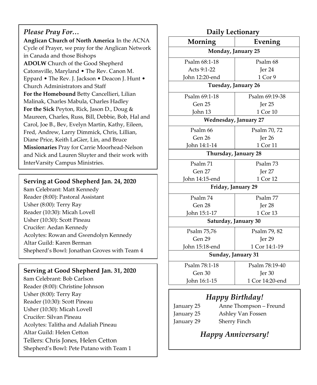#### *Please Pray For…*

**Anglican Church of North America** In the ACNA Cycle of Prayer, we pray for the Anglican Network in Canada and those Bishops **ADOLW** Church of the Good Shepherd Catonsville, Maryland • The Rev. Canon M. Eppard • The Rev. J. Jackson • Deacon J. Hunt • Church Administrators and Staff **For the Homebound** Betty Cancellieri, Lilian Malinak, Charles Mabula, Charles Hadley **For the Sick** Peyton, Rick, Jason D., Doug & Maureen, Charles, Russ, Bill, Debbie, Bob, Hal and Carol, Joe B., Bev, Evelyn Martin, Kathy, Eileen, Fred, Andrew, Larry Dimmick, Chris, Lillian, Diane Price, Keith LaGier, Lin, and Bruce **Missionaries** Pray for Carrie Moorhead-Nelson and Nick and Lauren Sluyter and their work with InterVarsity Campus Ministries.

#### **Serving at Good Shepherd Jan. 24, 2020**

8am Celebrant: Matt Kennedy Reader (8:00): Pastoral Assistant Usher (8:00): Terry Ray Reader (10:30): Micah Lovell Usher (10:30): Scott Pineau Crucifer: Aedan Kennedy Acolytes: Rowan and Gwendolyn Kennedy Altar Guild: Karen Berman Shepherd's Bowl: Jonathan Groves with Team 4

#### **Serving at Good Shepherd Jan. 31, 2020**

8am Celebrant: Bob Carlson Reader (8:00): Christine Johnson Usher (8:00): Terry Ray Reader (10:30): Scott Pineau Usher (10:30): Micah Lovell Crucifer: Silvan Pineau Acolytes: Talitha and Adaliah Pineau Altar Guild: Helen Cetton Tellers: Chris Jones, Helen Cetton Shepherd's Bowl: Pete Putano with Team 1

| Daily Lectionary             |                         |  |
|------------------------------|-------------------------|--|
| Morning                      | Evening                 |  |
| Monday, January 25           |                         |  |
| Psalm 68:1-18                | Psalm 68                |  |
| Acts 9:1-22                  | Jer <sub>24</sub>       |  |
| John 12:20-end               | 1 Cor 9                 |  |
| Tuesday, January 26          |                         |  |
| Psalm 69:1-18                | Psalm 69:19-38          |  |
| Gen 25                       | Jer 25                  |  |
| John 13                      | 1 Cor 10                |  |
| <b>Wednesday, January 27</b> |                         |  |
| Psalm 66                     | Psalm 70, 72            |  |
| Gen 26                       | Jer 26                  |  |
| John 14:1-14                 | 1 Cor 11                |  |
| Thursday, January 28         |                         |  |
| Psalm 71                     | Psalm 73                |  |
| Gen 27                       | Jer 27                  |  |
| John 14:15-end               | 1 Cor 12                |  |
| Friday, January 29           |                         |  |
| Psalm 74                     | Psalm 77                |  |
| Gen 28                       | $\operatorname{Ier} 28$ |  |
| John 15:1-17                 | 1 Cor 13                |  |
| Saturday, January 30         |                         |  |
| Psalm 75,76                  | Psalm 79, 82            |  |
| Gen 29                       | Jer 29                  |  |
| John 15:18-end               | 1 Cor 14:1-19           |  |
| Sunday, January 31           |                         |  |
| Psalm 78:1-18                | Psalm 78:19-40          |  |
| Gen 30                       | Jer <sub>30</sub>       |  |
| John 16:1-15                 | 1 Cor 14:20-end         |  |
| Happy Birthday!              |                         |  |

#### January 25 Anne Thompson – Freund January 25 Ashley Van Fossen January 29 Sherry Finch

# *Happy Anniversary!*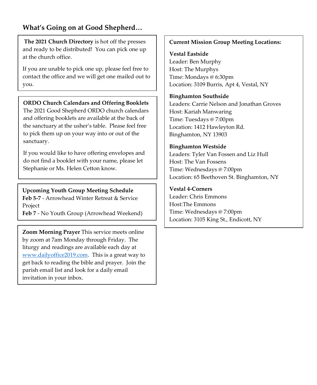#### **What's Going on at Good Shepherd…**

**The 2021 Church Directory** is hot off the presses and ready to be distributed! You can pick one up at the church office.

If you are unable to pick one up, please feel free to contact the office and we will get one mailed out to you.

#### **ORDO Church Calendars and Offering Booklets**

The 2021 Good Shepherd ORDO church calendars and offering booklets are available at the back of the sanctuary at the usher's table. Please feel free to pick them up on your way into or out of the sanctuary.

If you would like to have offering envelopes and do not find a booklet with your name, please let Stephanie or Ms. Helen Cetton know.

**Upcoming Youth Group Meeting Schedule Feb 5-7** - Arrowhead Winter Retreat & Service Project

**Feb 7** - No Youth Group (Arrowhead Weekend)

**Zoom Morning Prayer** This service meets online by zoom at 7am Monday through Friday. The liturgy and readings are available each day at [www.dailyoffice2019.com.](http://www.dailyoffice2019.com/) This is a great way to get back to reading the bible and prayer. Join the parish email list and look for a daily email invitation in your inbox.

#### **Current Mission Group Meeting Locations:**

**Vestal Eastside** Leader: Ben Murphy Host: The Murphys Time: Mondays @ 6:30pm Location: 3109 Burris, Apt 4, Vestal, NY

#### **Binghamton Southside**

Leaders: Carrie Nelson and Jonathan Groves Host: Kariah Manwaring Time: Tuesdays @ 7:00pm Location: 1412 Hawleyton Rd. Binghamton, NY 13903

#### **Binghamton Westside**

Leaders: Tyler Van Fossen and Liz Hull Host: The Van Fossens Time: Wednesdays @ 7:00pm Location: 65 Beethoven St. Binghamton, NY

#### **Vestal 4-Corners**

Leader: Chris Emmons Host:The Emmons Time: Wednesdays @ 7:00pm Location: 3105 King St., Endicott, NY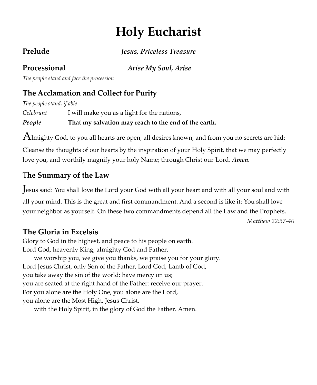# **Holy Eucharist**

**Prelude** *Jesus, Priceless Treasure*

**Processional** *Arise My Soul, Arise*

*The people stand and face the procession*

# **The Acclamation and Collect for Purity**

*The people stand, if able*

*Celebrant* I will make you as a light for the nations,

*People* **That my salvation may reach to the end of the earth.**

 ${\rm A}$ lmighty God, to you all hearts are open, all desires known, and from you no secrets are hid:

Cleanse the thoughts of our hearts by the inspiration of your Holy Spirit, that we may perfectly love you, and worthily magnify your holy Name; through Christ our Lord. *Amen.*

# T**he Summary of the Law**

Jesus said: You shall love the Lord your God with all your heart and with all your soul and with

all your mind. This is the great and first commandment. And a second is like it: You shall love your neighbor as yourself. On these two commandments depend all the Law and the Prophets.

*Matthew 22:37-40*

# **The Gloria in Excelsis**

Glory to God in the highest, and peace to his people on earth. Lord God, heavenly King, almighty God and Father, we worship you, we give you thanks, we praise you for your glory. Lord Jesus Christ, only Son of the Father, Lord God, Lamb of God, you take away the sin of the world: have mercy on us; you are seated at the right hand of the Father: receive our prayer. For you alone are the Holy One, you alone are the Lord, you alone are the Most High, Jesus Christ,

with the Holy Spirit, in the glory of God the Father. Amen.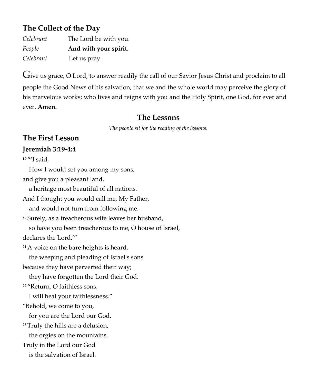## **The Collect of the Day**

| Celebrant | The Lord be with you. |
|-----------|-----------------------|
| People    | And with your spirit. |
| Celebrant | Let us pray.          |

Give us grace, O Lord, to answer readily the call of our Savior Jesus Christ and proclaim to all people the Good News of his salvation, that we and the whole world may perceive the glory of his marvelous works; who lives and reigns with you and the Holy Spirit, one God, for ever and ever. **Amen.**

#### **The Lessons**

*The people sit for the reading of the lessons.*

# **The First Lesson Jeremiah 3:19-4:4**

**<sup>19</sup>** "'I said, How I would set you among my sons, and give you a pleasant land, a heritage most beautiful of all nations. And I thought you would call me, My Father, and would not turn from following me. **<sup>20</sup>** Surely, as a treacherous wife leaves her husband, so have you been treacherous to me, O house of Israel, declares the Lord.'" **<sup>21</sup>** A voice on the bare heights is heard, the weeping and pleading of Israel's sons because they have perverted their way; they have forgotten the Lord their God. **<sup>22</sup>** "Return, O faithless sons; I will heal your faithlessness." "Behold, we come to you, for you are the Lord our God. **<sup>23</sup>** Truly the hills are a delusion, the orgies on the mountains. Truly in the Lord our God is the salvation of Israel.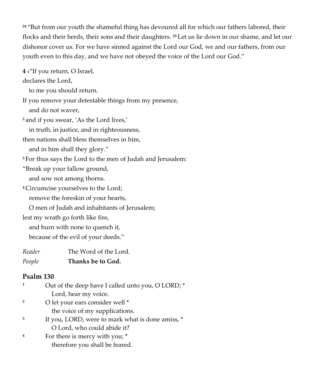**<sup>24</sup>** "But from our youth the shameful thing has devoured all for which our fathers labored, their flocks and their herds, their sons and their daughters. **<sup>25</sup>** Let us lie down in our shame, and let our dishonor cover us. For we have sinned against the Lord our God, we and our fathers, from our youth even to this day, and we have not obeyed the voice of the Lord our God."

**4 <sup>1</sup>**"If you return, O Israel,

declares the Lord,

to me you should return.

If you remove your detestable things from my presence, and do not waver,

**<sup>2</sup>** and if you swear, 'As the Lord lives,'

in truth, in justice, and in righteousness,

then nations shall bless themselves in him,

and in him shall they glory."

**<sup>3</sup>** For thus says the Lord to the men of Judah and Jerusalem:

"Break up your fallow ground,

and sow not among thorns.

**<sup>4</sup>** Circumcise yourselves to the Lord;

remove the foreskin of your hearts,

O men of Judah and inhabitants of Jerusalem;

lest my wrath go forth like fire,

and burn with none to quench it,

because of the evil of your deeds."

*Reader* The Word of the Lord.

| People | Thanks be to God. |  |
|--------|-------------------|--|
|        |                   |  |

#### **Psalm 130**

- <sup>1</sup> Out of the deep have I called unto you, O LORD;  $*$  Lord, hear my voice. **<sup>2</sup>** O let your ears consider well \*
	- the voice of my supplications.
- **3** If you, LORD, were to mark what is done amiss, \* O Lord, who could abide it?
- **<sup>4</sup>**For there is mercy with you; \* therefore you shall be feared.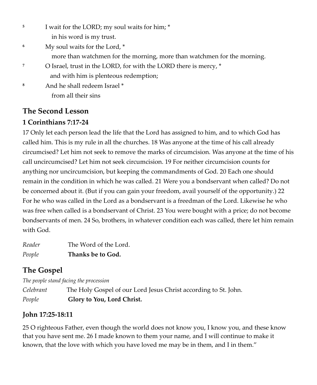**5** I wait for the LORD; my soul waits for him; \*

in his word is my trust.

**<sup>6</sup>**My soul waits for the Lord, \*

more than watchmen for the morning, more than watchmen for the morning.

- **<sup>7</sup>** O Israel, trust in the LORD, for with the LORD there is mercy, \* and with him is plenteous redemption;
- **<sup>8</sup>**And he shall redeem Israel \* from all their sins

#### **The Second Lesson**

#### **1 Corinthians 7:17-24**

17 Only let each person lead the life that the Lord has assigned to him, and to which God has called him. This is my rule in all the churches. 18 Was anyone at the time of his call already circumcised? Let him not seek to remove the marks of circumcision. Was anyone at the time of his call uncircumcised? Let him not seek circumcision. 19 For neither circumcision counts for anything nor uncircumcision, but keeping the commandments of God. 20 Each one should remain in the condition in which he was called. 21 Were you a bondservant when called? Do not be concerned about it. (But if you can gain your freedom, avail yourself of the opportunity.) 22 For he who was called in the Lord as a bondservant is a freedman of the Lord. Likewise he who was free when called is a bondservant of Christ. 23 You were bought with a price; do not become bondservants of men. 24 So, brothers, in whatever condition each was called, there let him remain with God.

*Reader* The Word of the Lord. *People* **Thanks be to God.**

# **The Gospel**

*The people stand facing the procession Celebrant* The Holy Gospel of our Lord Jesus Christ according to St. John. *People* **Glory to You, Lord Christ.**

#### **John 17:25-18:11**

25 O righteous Father, even though the world does not know you, I know you, and these know that you have sent me. 26 I made known to them your name, and I will continue to make it known, that the love with which you have loved me may be in them, and I in them."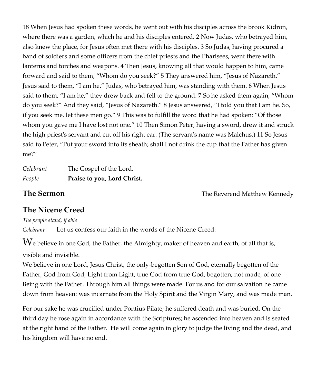18 When Jesus had spoken these words, he went out with his disciples across the brook Kidron, where there was a garden, which he and his disciples entered. 2 Now Judas, who betrayed him, also knew the place, for Jesus often met there with his disciples. 3 So Judas, having procured a band of soldiers and some officers from the chief priests and the Pharisees, went there with lanterns and torches and weapons. 4 Then Jesus, knowing all that would happen to him, came forward and said to them, "Whom do you seek?" 5 They answered him, "Jesus of Nazareth." Jesus said to them, "I am he." Judas, who betrayed him, was standing with them. 6 When Jesus said to them, "I am he," they drew back and fell to the ground. 7 So he asked them again, "Whom do you seek?" And they said, "Jesus of Nazareth." 8 Jesus answered, "I told you that I am he. So, if you seek me, let these men go." 9 This was to fulfill the word that he had spoken: "Of those whom you gave me I have lost not one." 10 Then Simon Peter, having a sword, drew it and struck the high priest's servant and cut off his right ear. (The servant's name was Malchus.) 11 So Jesus said to Peter, "Put your sword into its sheath; shall I not drink the cup that the Father has given me?"

| Celebrant | The Gospel of the Lord.     |
|-----------|-----------------------------|
| People    | Praise to you, Lord Christ. |

**The Sermon The Reverend Matthew Kennedy** 

## **The Nicene Creed**

*The people stand, if able*

*Celebrant* Let us confess our faith in the words of the Nicene Creed:

 $W_e$  believe in one God, the Father, the Almighty, maker of heaven and earth, of all that is, visible and invisible.

We believe in one Lord, Jesus Christ, the only-begotten Son of God, eternally begotten of the Father, God from God, Light from Light, true God from true God, begotten, not made, of one Being with the Father. Through him all things were made. For us and for our salvation he came down from heaven: was incarnate from the Holy Spirit and the Virgin Mary, and was made man.

For our sake he was crucified under Pontius Pilate; he suffered death and was buried. On the third day he rose again in accordance with the Scriptures; he ascended into heaven and is seated at the right hand of the Father. He will come again in glory to judge the living and the dead, and his kingdom will have no end.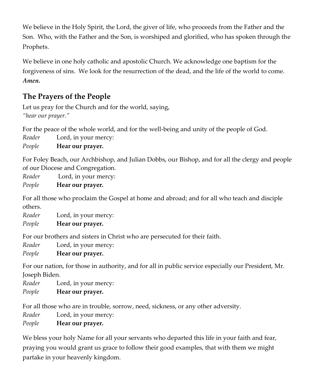We believe in the Holy Spirit, the Lord, the giver of life, who proceeds from the Father and the Son. Who, with the Father and the Son, is worshiped and glorified, who has spoken through the Prophets.

We believe in one holy catholic and apostolic Church. We acknowledge one baptism for the forgiveness of sins. We look for the resurrection of the dead, and the life of the world to come. *Amen.*

# **The Prayers of the People**

Let us pray for the Church and for the world, saying, *"hear our prayer."* 

For the peace of the whole world, and for the well-being and unity of the people of God.

*Reader* Lord, in your mercy:

*People* **Hear our prayer.** 

For Foley Beach, our Archbishop, and Julian Dobbs, our Bishop, and for all the clergy and people of our Diocese and Congregation.

*Reader* Lord, in your mercy:

*People* **Hear our prayer.** 

For all those who proclaim the Gospel at home and abroad; and for all who teach and disciple others.

*Reader* Lord, in your mercy: *People* **Hear our prayer.** 

For our brothers and sisters in Christ who are persecuted for their faith.

*Reader* Lord, in your mercy:

*People* **Hear our prayer.** 

For our nation, for those in authority, and for all in public service especially our President, Mr. Joseph Biden.

*Reader* Lord, in your mercy:

*People* **Hear our prayer.**

For all those who are in trouble, sorrow, need, sickness, or any other adversity.

*Reader* Lord, in your mercy:

*People* **Hear our prayer.**

We bless your holy Name for all your servants who departed this life in your faith and fear, praying you would grant us grace to follow their good examples, that with them we might partake in your heavenly kingdom.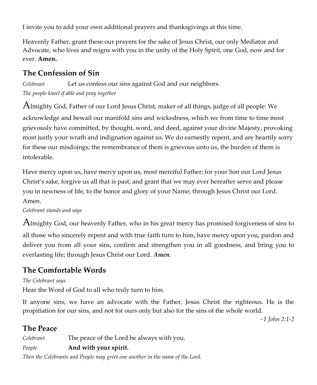I invite you to add your own additional prayers and thanksgivings at this time.

Heavenly Father, grant these our prayers for the sake of Jesus Christ, our only Mediator and Advocate, who lives and reigns with you in the unity of the Holy Spirit, one God, now and for ever. **Amen.**

# **The Confession of Sin**

*Celebrant* Let us confess our sins against God and our neighbors. *The people kneel if able and pray together*

Almighty God, Father of our Lord Jesus Christ, maker of all things, judge of all people: We acknowledge and bewail our manifold sins and wickedness, which we from time to time most grievously have committed, by thought, word, and deed, against your divine Majesty, provoking most justly your wrath and indignation against us. We do earnestly repent, and are heartily sorry for these our misdoings; the remembrance of them is grievous unto us, the burden of them is intolerable.

Have mercy upon us, have mercy upon us, most merciful Father; for your Son our Lord Jesus Christ's sake, forgive us all that is past; and grant that we may ever hereafter serve and please you in newness of life, to the honor and glory of your Name; through Jesus Christ our Lord. Amen.

*Celebrant stands and says*

Almighty God, our heavenly Father, who in his great mercy has promised forgiveness of sins to all those who sincerely repent and with true faith turn to him, have mercy upon you, pardon and deliver you from all your sins, confirm and strengthen you in all goodness, and bring you to everlasting life; through Jesus Christ our Lord. *Amen.*

# **The Comfortable Words**

#### *The Celebrant says*

Hear the Word of God to all who truly turn to him.

If anyone sins, we have an advocate with the Father, Jesus Christ the righteous. He is the propitiation for our sins, and not for ours only but also for the sins of the whole world.

*~1 John 2:1-2*

# **The Peace**

*Celebrant* The peace of the Lord be always with you.

## *People* **And with your spirit.**

*Then the Celebrants and People may greet one another in the name of the Lord.*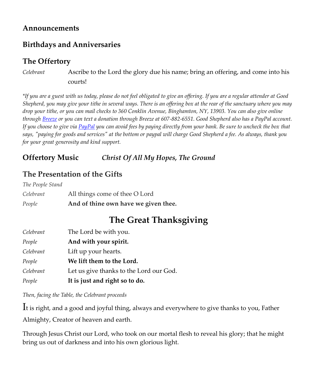#### **Announcements**

### **Birthdays and Anniversaries**

### **The Offertory**

*Celebrant* Ascribe to the Lord the glory due his name; bring an offering, and come into his courts!

*\*If you are a guest with us today, please do not feel obligated to give an offering. If you are a regular attender at Good Shepherd, you may give your tithe in several ways. There is an offering box at the rear of the sanctuary where you may drop your tithe, or you can mail checks to 360 Conklin Avenue, Binghamton, NY, 13903. You can also give online throug[h Breeze](https://goodshepherdbinghamton.breezechms.com/give/online) or you can text a donation through Breeze at 607-882-6551. Good Shepherd also has a PayPal account. If you choose to give vi[a PayPal](https://www.paypal.me/GSBinghamton?utm_source=unp&utm_medium=email&utm_campaign=PPC000654&utm_unptid=42acbf38-6ada-11ea-b9a4-b875c0f50354&ppid=PPC000654&cnac=US&rsta=en_US&cust=8MVRVDQC795TS&unptid=42acbf38-6ada-11ea-b9a4-b875c0f50354&calc=69b6c6cb4a105&unp_tpcid=ppme-social-business-profile-created&page=main:email:PPC000654:::&pgrp=main:email&e=cl&mchn=em&s=ci&mail=sys) you can avoid fees by paying directly from your bank. Be sure to uncheck the box that says, "paying for goods and services" at the bottom or paypal will charge Good Shepherd a fee. As always, thank you for your great generosity and kind support.*

## **Offertory Music** *Christ Of All My Hopes, The Ground*

# **The Presentation of the Gifts**

| People           | And of thine own have we given thee. |
|------------------|--------------------------------------|
| Celebrant        | All things come of thee O Lord       |
| The People Stand |                                      |

# **The Great Thanksgiving**

| Celebrant | The Lord be with you.                   |
|-----------|-----------------------------------------|
| People    | And with your spirit.                   |
| Celebrant | Lift up your hearts.                    |
| People    | We lift them to the Lord.               |
| Celebrant | Let us give thanks to the Lord our God. |
| People    | It is just and right so to do.          |

*Then, facing the Table, the Celebrant proceeds*

It is right, and a good and joyful thing, always and everywhere to give thanks to you, Father

Almighty, Creator of heaven and earth.

Through Jesus Christ our Lord, who took on our mortal flesh to reveal his glory; that he might bring us out of darkness and into his own glorious light.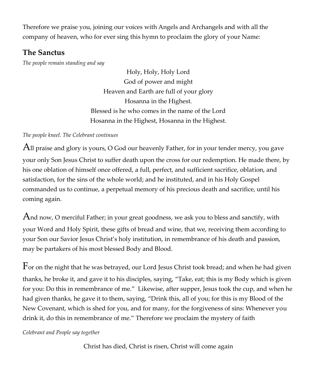Therefore we praise you, joining our voices with Angels and Archangels and with all the company of heaven, who for ever sing this hymn to proclaim the glory of your Name:

#### **The Sanctus**

*The people remain standing and say*

Holy, Holy, Holy Lord God of power and might Heaven and Earth are full of your glory Hosanna in the Highest. Blessed is he who comes in the name of the Lord Hosanna in the Highest, Hosanna in the Highest.

#### *The people kneel. The Celebrant continues*

All praise and glory is yours, O God our heavenly Father, for in your tender mercy, you gave your only Son Jesus Christ to suffer death upon the cross for our redemption. He made there, by his one oblation of himself once offered, a full, perfect, and sufficient sacrifice, oblation, and satisfaction, for the sins of the whole world; and he instituted, and in his Holy Gospel commanded us to continue, a perpetual memory of his precious death and sacrifice, until his coming again.

And now, O merciful Father; in your great goodness, we ask you to bless and sanctify, with your Word and Holy Spirit, these gifts of bread and wine, that we, receiving them according to your Son our Savior Jesus Christ's holy institution, in remembrance of his death and passion, may be partakers of his most blessed Body and Blood.

For on the night that he was betrayed, our Lord Jesus Christ took bread; and when he had given thanks, he broke it, and gave it to his disciples, saying, "Take, eat; this is my Body which is given for you: Do this in remembrance of me." Likewise, after supper, Jesus took the cup, and when he had given thanks, he gave it to them, saying, "Drink this, all of you; for this is my Blood of the New Covenant, which is shed for you, and for many, for the forgiveness of sins: Whenever you drink it, do this in remembrance of me." Therefore we proclaim the mystery of faith

#### *Celebrant and People say together*

Christ has died, Christ is risen, Christ will come again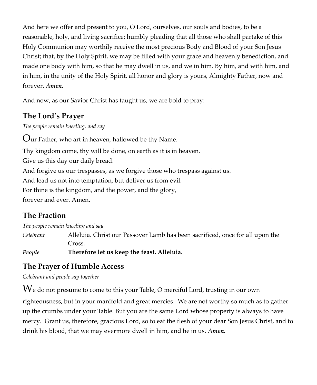And here we offer and present to you, O Lord, ourselves, our souls and bodies, to be a reasonable, holy, and living sacrifice; humbly pleading that all those who shall partake of this Holy Communion may worthily receive the most precious Body and Blood of your Son Jesus Christ; that, by the Holy Spirit, we may be filled with your grace and heavenly benediction, and made one body with him, so that he may dwell in us, and we in him. By him, and with him, and in him, in the unity of the Holy Spirit, all honor and glory is yours, Almighty Father, now and forever. *Amen.*

And now, as our Savior Christ has taught us, we are bold to pray:

# **The Lord's Prayer**

*The people remain kneeling, and say*

Our Father, who art in heaven, hallowed be thy Name.

Thy kingdom come, thy will be done, on earth as it is in heaven.

Give us this day our daily bread.

And forgive us our trespasses, as we forgive those who trespass against us.

And lead us not into temptation, but deliver us from evil.

For thine is the kingdom, and the power, and the glory,

forever and ever. Amen.

# **The Fraction**

*The people remain kneeling and say*

*Celebrant* Alleluia. Christ our Passover Lamb has been sacrificed, once for all upon the Cross.

*People* **Therefore let us keep the feast. Alleluia.**

# **The Prayer of Humble Access**

*Celebrant and people say together*

 $\operatorname{We}$  do not presume to come to this your Table, O merciful Lord, trusting in our own righteousness, but in your manifold and great mercies. We are not worthy so much as to gather up the crumbs under your Table. But you are the same Lord whose property is always to have mercy. Grant us, therefore, gracious Lord, so to eat the flesh of your dear Son Jesus Christ, and to drink his blood, that we may evermore dwell in him, and he in us. *Amen.*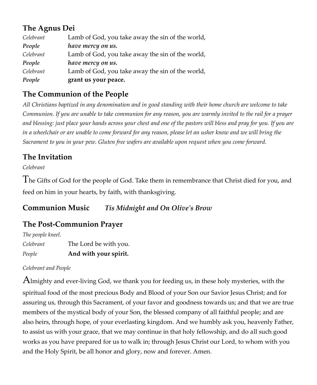# **The Agnus Dei**

| Celebrant | Lamb of God, you take away the sin of the world, |
|-----------|--------------------------------------------------|
| People    | have mercy on us.                                |
| Celebrant | Lamb of God, you take away the sin of the world, |
| People    | have mercy on us.                                |
| Celebrant | Lamb of God, you take away the sin of the world, |
| People    | grant us your peace.                             |

# **The Communion of the People**

*All Christians baptized in any denomination and in good standing with their home church are welcome to take Communion. If you are unable to take communion for any reason, you are warmly invited to the rail for a prayer and blessing: just place your hands across your chest and one of the pastors will bless and pray for you. If you are in a wheelchair or are unable to come forward for any reason, please let an usher know and we will bring the Sacrament to you in your pew. Gluten free wafers are available upon request when you come forward.*

# **The Invitation**

*Celebrant*

The Gifts of God for the people of God. Take them in remembrance that Christ died for you, and feed on him in your hearts, by faith, with thanksgiving.

### **Communion Music** *Tis Midnight and On Olive's Brow*

# **The Post-Communion Prayer**

*The people kneel.* 

| Celebrant | The Lord be with you. |
|-----------|-----------------------|
| People    | And with your spirit. |

#### *Celebrant and People*

Almighty and ever-living God, we thank you for feeding us, in these holy mysteries, with the spiritual food of the most precious Body and Blood of your Son our Savior Jesus Christ; and for assuring us, through this Sacrament, of your favor and goodness towards us; and that we are true members of the mystical body of your Son, the blessed company of all faithful people; and are also heirs, through hope, of your everlasting kingdom. And we humbly ask you, heavenly Father, to assist us with your grace, that we may continue in that holy fellowship, and do all such good works as you have prepared for us to walk in; through Jesus Christ our Lord, to whom with you and the Holy Spirit, be all honor and glory, now and forever. Amen.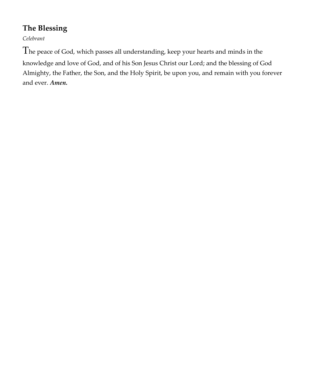# **The Blessing**

*Celebrant* 

The peace of God, which passes all understanding, keep your hearts and minds in the knowledge and love of God, and of his Son Jesus Christ our Lord; and the blessing of God Almighty, the Father, the Son, and the Holy Spirit, be upon you, and remain with you forever and ever. *Amen.*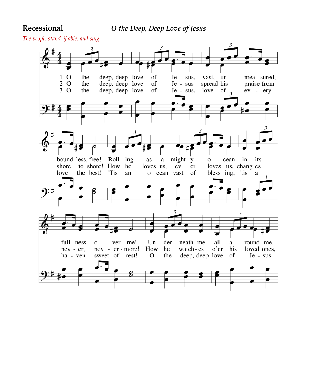*The people stand, if able, and sing* 

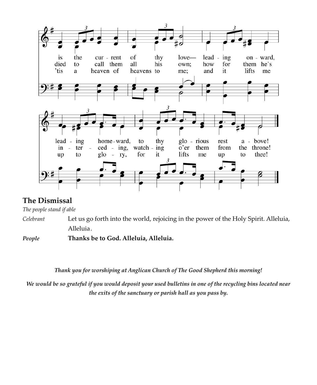

#### **The Dismissal**

*The people stand if able* 

*Celebrant* Let us go forth into the world, rejoicing in the power of the Holy Spirit. Alleluia, Alleluia.

*People* **Thanks be to God. Alleluia, Alleluia.**

*Thank you for worshiping at Anglican Church of The Good Shepherd this morning!*

*We would be so grateful if you would deposit your used bulletins in one of the recycling bins located near the exits of the sanctuary or parish hall as you pass by.*